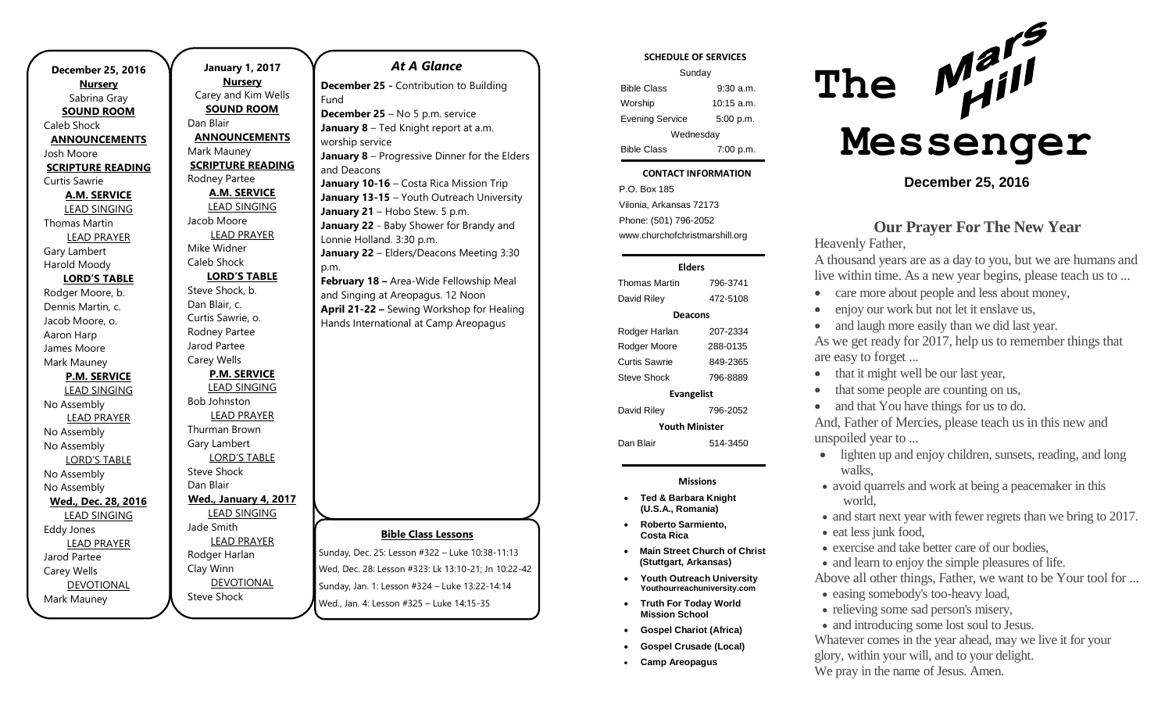| <b>December 25, 2016</b>         |
|----------------------------------|
| <b>Nursery</b>                   |
| Sabrina Gray                     |
| <u>SOUND ROOM</u>                |
| Caleb Shock                      |
| <b>ANNOUNCEMENTS</b>             |
| Josh Moore                       |
| <b>SCRIPTURE READING</b>         |
| Curtis Sawrie                    |
| <b>A.M. SERVICE</b>              |
| <b>LEAD SINGING</b>              |
| <b>Thomas Martin</b>             |
| <b>LEAD PRAYER</b>               |
| Gary Lambert                     |
| Harold Moody                     |
| <b>LORD'S TABLE</b>              |
| Rodger Moore, b.                 |
| Dennis Martin, c.                |
| Jacob Moore, o.                  |
| Aaron Harp                       |
| James Moore                      |
| Mark Mauney                      |
| <b>P.M. SERVICE</b>              |
| <u>LEAD SINGING</u>              |
| No Assembly                      |
| <b>LEAD PRAYER</b>               |
| No Assembly                      |
| No Assembly                      |
| <b>LORD'S TABLE</b>              |
| No Assembly                      |
| No Assembly                      |
| Wed., Dec. 28, 2016              |
| <b>LEAD SINGING</b>              |
| <b>Eddy Jones</b>                |
| <b>LEAD PRAYER</b>               |
| Jarod Partee<br>Carey Wells      |
|                                  |
| <b>DEVOTIONAL</b><br>Mark Mauney |
|                                  |

**January 1, 2017 Nursery** Carey and Kim Wells **SOUND ROOM** Dan Blair **ANNOUNCEMENTS** Mark Mauney **SCRIPTURE READING** Rodney Partee **A.M. SERVICE** LEAD SINGING Jacob Moore LEAD PRAYER Mike Widner Caleb Shock **LORD'S TABLE** Steve Shock, b. Dan Blair, c. Curtis Sawrie, o. Rodney Partee Jarod Partee Carey Wells **P.M. SERVICE** LEAD SINGING Bob Johnston LEAD PRAYER Thurman Brown Gary Lambert LORD'S TABLE Steve Shock Dan Blair **Wed., January 4, 2017** LEAD SINGING Jade Smith LEAD PRAYER Rodger Harlan Clay Winn DEVOTIONAL

Steve Shock

# **Bible Class Lessons** Sunday, Dec. 25: Lesson #322 – Luke 10:38-11:13 Wed, Dec. 28: Lesson #323: Lk 13:10-21; Jn 10:22-42 Sunday, Jan. 1: Lesson #324 – Luke 13:22-14:14 *At A Glance*  **December 25 -** Contribution to Building Fund **December 25** – No 5 p.m. service **January 8** – Ted Knight report at a.m. worship service **January 8** – Progressive Dinner for the Elders and Deacons **January 10-16** – Costa Rica Mission Trip **January 13-15** – Youth Outreach University January 21 - Hobo Stew. 5 p.m. **January 22** - Baby Shower for Brandy and Lonnie Holland. 3:30 p.m. **January 22** – Elders/Deacons Meeting 3:30 p.m. **February 18 –** Area-Wide Fellowship Meal and Singing at Areopagus. 12 Noon **April 21-22 –** Sewing Workshop for Healing Hands International at Camp Areopagus

**SCHEDULE OF SERVICES**

| Sunday                 |              |  |
|------------------------|--------------|--|
| <b>Bible Class</b>     | 9:30 a.m.    |  |
| Worship                | 10:15 $a.m.$ |  |
| <b>Evening Service</b> | 5:00 p.m.    |  |
| Wednesday              |              |  |
| <b>Bible Class</b>     | 7:00 p.m.    |  |

#### Tuesday **CONTACT INFORMATION**

. .o. Bex 166<br>Vilonia, Arkansas 72173 P.O. Box 185 Phone: (501) 796-2052 www.churchofchristmarshill.org

#### **Elders**

Thomas Martin 796-3741 David Riley 472-5108 **Deacons** Rodger Harlan 207-2334 Rodger Moore 288-0135 Curtis Sawrie 849-2365 Steve Shock 796-8889 **Evangelist** David Riley 796-2052 **Youth Minister**

Dan Blair 514-3450

#### **Missions**

- **Ted & Barbara Knight (U.S.A., Romania)**
- **Roberto Sarmiento, Costa Rica**
	- **Main Street Church of Christ (Stuttgart, Arkansas)**
	- **Youth Outreach University Youthourreachuniversity.com**
	- **Truth For Today World Mission School**
	- **Gospel Chariot (Africa)**
	- **Gospel Crusade (Local)**
	- **Camp Areopagus**



**December 25, 2016**

### **Our Prayer For The New Year**

Heavenly Father,

A thousand years are as a day to you, but we are humans and live within time. As a new year begins, please teach us to ...

- care more about people and less about money,
- enjoy our work but not let it enslave us,
- and laugh more easily than we did last year. As we get ready for 2017, help us to remember things that are easy to forget ...
- that it might well be our last year,
- that some people are counting on us,
- and that You have things for us to do.

And, Father of Mercies, please teach us in this new and unspoiled year to ...

- lighten up and enjoy children, sunsets, reading, and long walks,
- avoid quarrels and work at being a peacemaker in this world,
- and start next year with fewer regrets than we bring to 2017.
- eat less junk food,
- exercise and take better care of our bodies.
- and learn to enjoy the simple pleasures of life.

Above all other things, Father, we want to be Your tool for ...

- easing somebody's too-heavy load,
- relieving some sad person's misery,
- and introducing some lost soul to Jesus.

Whatever comes in the year ahead, may we live it for your glory, within your will, and to your delight. We pray in the name of Jesus. Amen.

Wed., Jan. 4: Lesson #325 – Luke 14:15-35